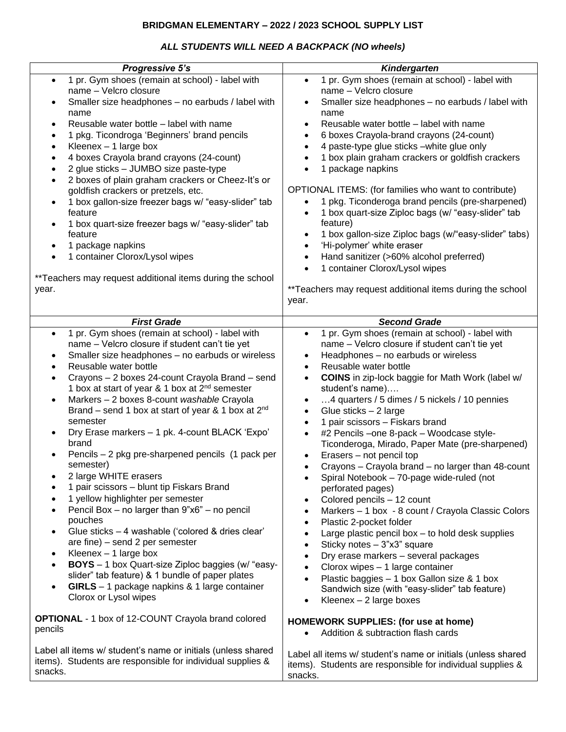## **BRIDGMAN ELEMENTARY – 2022 / 2023 SCHOOL SUPPLY LIST**

## *ALL STUDENTS WILL NEED A BACKPACK (NO wheels)*

| Progressive 5's                                                                                                                                                                                                                                                                                                                                                                                                                                                                                                                                                                                                                                                                                                                                                                                                                                                                                                                                                                                                                                                                                                                                         |                                                                                                                                                                                                                                                                                                                                                                                                                                                                                                                                                                                                                                                                                                                                                                                                                                                                                                                                                                                                                                                                                                                                                                                                                                                                                               |
|---------------------------------------------------------------------------------------------------------------------------------------------------------------------------------------------------------------------------------------------------------------------------------------------------------------------------------------------------------------------------------------------------------------------------------------------------------------------------------------------------------------------------------------------------------------------------------------------------------------------------------------------------------------------------------------------------------------------------------------------------------------------------------------------------------------------------------------------------------------------------------------------------------------------------------------------------------------------------------------------------------------------------------------------------------------------------------------------------------------------------------------------------------|-----------------------------------------------------------------------------------------------------------------------------------------------------------------------------------------------------------------------------------------------------------------------------------------------------------------------------------------------------------------------------------------------------------------------------------------------------------------------------------------------------------------------------------------------------------------------------------------------------------------------------------------------------------------------------------------------------------------------------------------------------------------------------------------------------------------------------------------------------------------------------------------------------------------------------------------------------------------------------------------------------------------------------------------------------------------------------------------------------------------------------------------------------------------------------------------------------------------------------------------------------------------------------------------------|
| 1 pr. Gym shoes (remain at school) - label with<br>$\bullet$<br>name - Velcro closure<br>Smaller size headphones - no earbuds / label with<br>name<br>Reusable water bottle - label with name<br>$\bullet$<br>1 pkg. Ticondroga 'Beginners' brand pencils<br>٠<br>Kleenex $-1$ large box<br>٠<br>4 boxes Crayola brand crayons (24-count)<br>$\bullet$<br>2 glue sticks - JUMBO size paste-type<br>$\bullet$<br>2 boxes of plain graham crackers or Cheez-It's or<br>$\bullet$<br>goldfish crackers or pretzels, etc.<br>1 box gallon-size freezer bags w/ "easy-slider" tab<br>٠<br>feature<br>1 box quart-size freezer bags w/ "easy-slider" tab<br>feature<br>1 package napkins<br>٠<br>1 container Clorox/Lysol wipes<br>$\bullet$<br>**Teachers may request additional items during the school<br>year.                                                                                                                                                                                                                                                                                                                                            | Kindergarten<br>1 pr. Gym shoes (remain at school) - label with<br>$\bullet$<br>name - Velcro closure<br>Smaller size headphones - no earbuds / label with<br>$\bullet$<br>name<br>Reusable water bottle - label with name<br>$\bullet$<br>6 boxes Crayola-brand crayons (24-count)<br>$\bullet$<br>4 paste-type glue sticks - white glue only<br>$\bullet$<br>1 box plain graham crackers or goldfish crackers<br>1 package napkins<br>$\bullet$<br>OPTIONAL ITEMS: (for families who want to contribute)<br>1 pkg. Ticonderoga brand pencils (pre-sharpened)<br>$\bullet$<br>1 box quart-size Ziploc bags (w/ "easy-slider" tab<br>$\bullet$<br>feature)<br>1 box gallon-size Ziploc bags (w/"easy-slider" tabs)<br>$\bullet$<br>'Hi-polymer' white eraser<br>$\bullet$<br>Hand sanitizer (>60% alcohol preferred)<br>$\bullet$<br>1 container Clorox/Lysol wipes<br>$\bullet$<br>**Teachers may request additional items during the school<br>year.                                                                                                                                                                                                                                                                                                                                        |
| <b>First Grade</b>                                                                                                                                                                                                                                                                                                                                                                                                                                                                                                                                                                                                                                                                                                                                                                                                                                                                                                                                                                                                                                                                                                                                      | <b>Second Grade</b>                                                                                                                                                                                                                                                                                                                                                                                                                                                                                                                                                                                                                                                                                                                                                                                                                                                                                                                                                                                                                                                                                                                                                                                                                                                                           |
| 1 pr. Gym shoes (remain at school) - label with<br>$\bullet$<br>name - Velcro closure if student can't tie yet<br>Smaller size headphones - no earbuds or wireless<br>٠<br>Reusable water bottle<br>$\bullet$<br>Crayons - 2 boxes 24-count Crayola Brand - send<br>$\bullet$<br>1 box at start of year & 1 box at 2 <sup>nd</sup> semester<br>Markers - 2 boxes 8-count washable Crayola<br>$\bullet$<br>Brand – send 1 box at start of year & 1 box at 2 <sup>nd</sup><br>semester<br>Dry Erase markers - 1 pk. 4-count BLACK 'Expo'<br>brand<br>Pencils - 2 pkg pre-sharpened pencils (1 pack per<br>semester)<br>2 large WHITE erasers<br>٠<br>1 pair scissors - blunt tip Fiskars Brand<br>1 yellow highlighter per semester<br>$\bullet$<br>Pencil Box - no larger than 9"x6" - no pencil<br>$\bullet$<br>pouches<br>Glue sticks - 4 washable ('colored & dries clear'<br>٠<br>are fine) – send 2 per semester<br>Kleenex $-1$ large box<br>٠<br>BOYS - 1 box Quart-size Ziploc baggies (w/ "easy-<br>٠<br>slider" tab feature) & 1 bundle of paper plates<br>GIRLS - 1 package napkins & 1 large container<br>$\bullet$<br>Clorox or Lysol wipes | 1 pr. Gym shoes (remain at school) - label with<br>$\bullet$<br>name - Velcro closure if student can't tie yet<br>Headphones - no earbuds or wireless<br>$\bullet$<br>Reusable water bottle<br>$\bullet$<br><b>COINS</b> in zip-lock baggie for Math Work (label w/<br>$\bullet$<br>student's name)<br>4 quarters / 5 dimes / 5 nickels / 10 pennies<br>$\bullet$<br>Glue sticks - 2 large<br>$\bullet$<br>1 pair scissors - Fiskars brand<br>$\bullet$<br>#2 Pencils -one 8-pack - Woodcase style-<br>$\bullet$<br>Ticonderoga, Mirado, Paper Mate (pre-sharpened)<br>Erasers - not pencil top<br>$\bullet$<br>Crayons - Crayola brand - no larger than 48-count<br>$\bullet$<br>Spiral Notebook - 70-page wide-ruled (not<br>$\bullet$<br>perforated pages)<br>Colored pencils - 12 count<br>$\bullet$<br>Markers - 1 box - 8 count / Crayola Classic Colors<br>$\bullet$<br>Plastic 2-pocket folder<br>$\bullet$<br>Large plastic pencil box - to hold desk supplies<br>$\bullet$<br>Sticky notes - 3"x3" square<br>$\bullet$<br>Dry erase markers - several packages<br>$\bullet$<br>Clorox wipes - 1 large container<br>$\bullet$<br>Plastic baggies - 1 box Gallon size & 1 box<br>$\bullet$<br>Sandwich size (with "easy-slider" tab feature)<br>Kleenex $-2$ large boxes<br>$\bullet$ |
| <b>OPTIONAL</b> - 1 box of 12-COUNT Crayola brand colored<br>pencils                                                                                                                                                                                                                                                                                                                                                                                                                                                                                                                                                                                                                                                                                                                                                                                                                                                                                                                                                                                                                                                                                    | HOMEWORK SUPPLIES: (for use at home)<br>Addition & subtraction flash cards<br>$\bullet$                                                                                                                                                                                                                                                                                                                                                                                                                                                                                                                                                                                                                                                                                                                                                                                                                                                                                                                                                                                                                                                                                                                                                                                                       |
| Label all items w/ student's name or initials (unless shared<br>items). Students are responsible for individual supplies &<br>snacks.                                                                                                                                                                                                                                                                                                                                                                                                                                                                                                                                                                                                                                                                                                                                                                                                                                                                                                                                                                                                                   | Label all items w/ student's name or initials (unless shared<br>items). Students are responsible for individual supplies &<br>snacks.                                                                                                                                                                                                                                                                                                                                                                                                                                                                                                                                                                                                                                                                                                                                                                                                                                                                                                                                                                                                                                                                                                                                                         |